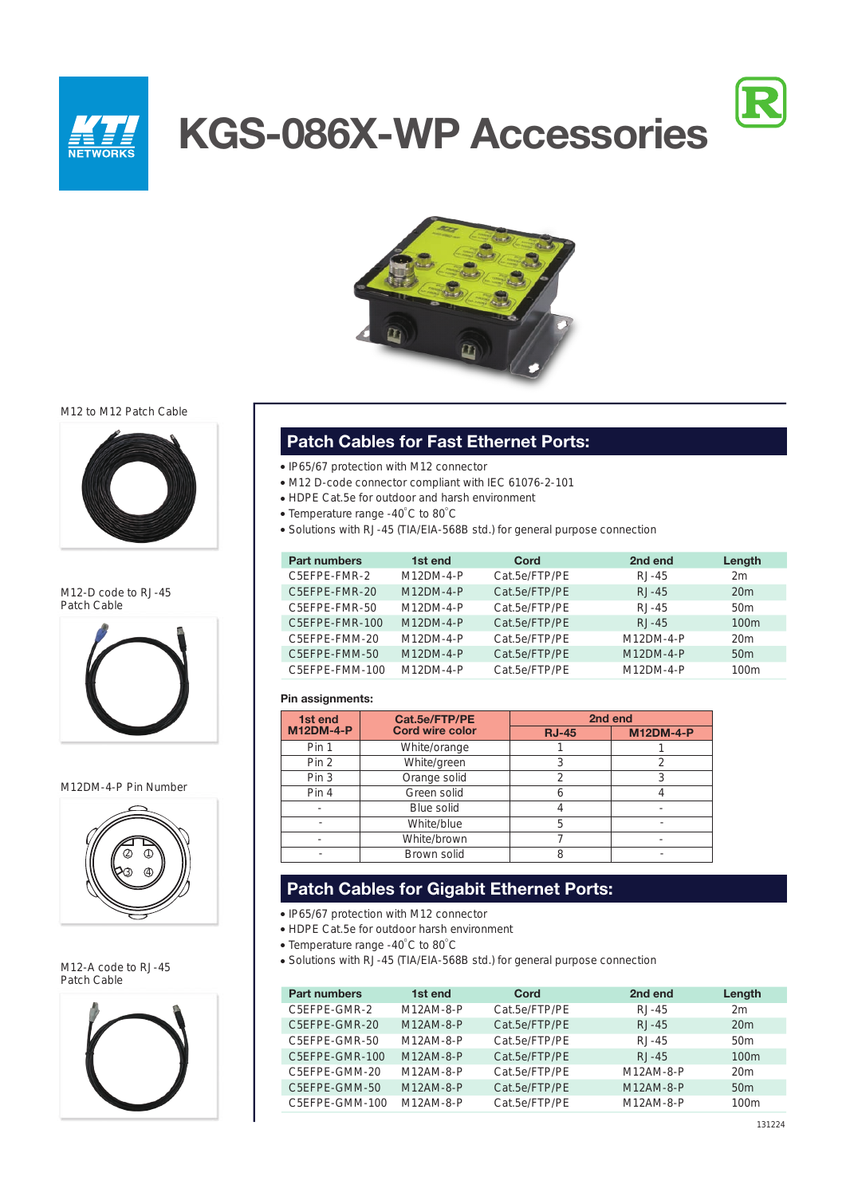

# **KGS-086X-WP Accessories**





## M12 to M12 Patch Cable



M12-D code to RJ-45 Patch Cable



#### M12DM-4-P Pin Number



M12-A code to RJ-45 Patch Cable



## **Patch Cables for Fast Ethernet Ports:**

- IP65/67 protection with M12 connector
- M12 D-code connector compliant with IEC 61076-2-101
- HDPE Cat.5e for outdoor and harsh environment
- Temperature range -40 $\degree$ C to 80 $\degree$ C
- Solutions with RJ-45 (TIA/EIA-568B std.) for general purpose connection

| <b>Part numbers</b> | 1st end     | Cord          | 2nd end     | Length           |
|---------------------|-------------|---------------|-------------|------------------|
| C5EFPE-FMR-2        | $M12DM-4-P$ | Cat.5e/FTP/PE | $RJ-45$     | 2m               |
| C5EFPE-FMR-20       | $M12DM-4-P$ | Cat.5e/FTP/PE | $RJ-45$     | 20m              |
| C5EFPE-FMR-50       | $M12DM-4-P$ | Cat.5e/FTP/PE | $RJ-45$     | 50 <sub>m</sub>  |
| C5EFPE-FMR-100      | $M12DM-4-P$ | Cat.5e/FTP/PE | $RJ-45$     | 100 <sub>m</sub> |
| C5EFPE-FMM-20       | $M12DM-4-P$ | Cat.5e/FTP/PE | $M12DM-4-P$ | 20m              |
| C5EFPE-FMM-50       | $M12DM-4-P$ | Cat.5e/FTP/PE | $M12DM-4-P$ | 50 <sub>m</sub>  |
| C5EFPE-FMM-100      | $M12DM-4-P$ | Cat.5e/FTP/PE | $M12DM-4-P$ | 100 <sub>m</sub> |

#### **Pin assignments:**

| Cat.5e/FTP/PE<br>1st end |                        |              | 2nd end          |
|--------------------------|------------------------|--------------|------------------|
| <b>M12DM-4-P</b>         | <b>Cord wire color</b> | <b>RJ-45</b> | <b>M12DM-4-P</b> |
| Pin 1                    | White/orange           |              |                  |
| Pin <sub>2</sub>         | White/green            |              |                  |
| Pin <sub>3</sub>         | Orange solid           | 2            |                  |
| Pin 4                    | Green solid            |              |                  |
|                          | Blue solid             |              |                  |
|                          | White/blue             | 5            |                  |
|                          | White/brown            |              |                  |
|                          | Brown solid            |              |                  |

## **Patch Cables for Gigabit Ethernet Ports:**

- IP65/67 protection with M12 connector
- HDPE Cat.5e for outdoor harsh environment
- Temperature range -40 $\degree$ C to 80 $\degree$ C
- Solutions with RJ-45 (TIA/EIA-568B std.) for general purpose connection

| <b>Part numbers</b> | 1st end     | Cord          | 2nd end   | Length           |
|---------------------|-------------|---------------|-----------|------------------|
| C5EFPE-GMR-2        | $M12AM-8-P$ | Cat.5e/FTP/PE | $RJ-45$   | 2m               |
| C5EFPE-GMR-20       | M12AM-8-P   | Cat.5e/FTP/PE | $RJ-45$   | 20m              |
| C5EFPE-GMR-50       | M12AM-8-P   | Cat.5e/FTP/PE | $RJ-45$   | 50 <sub>m</sub>  |
| C5EFPE-GMR-100      | $M12AM-8-P$ | Cat.5e/FTP/PE | $RJ-45$   | 100 <sub>m</sub> |
| C5EFPE-GMM-20       | M12AM-8-P   | Cat.5e/FTP/PE | M12AM-8-P | 20m              |
| C5EFPE-GMM-50       | M12AM-8-P   | Cat.5e/FTP/PE | M12AM-8-P | 50 <sub>m</sub>  |
| C5EFPE-GMM-100      | $M12AM-8-P$ | Cat.5e/FTP/PE | M12AM-8-P | 100 <sub>m</sub> |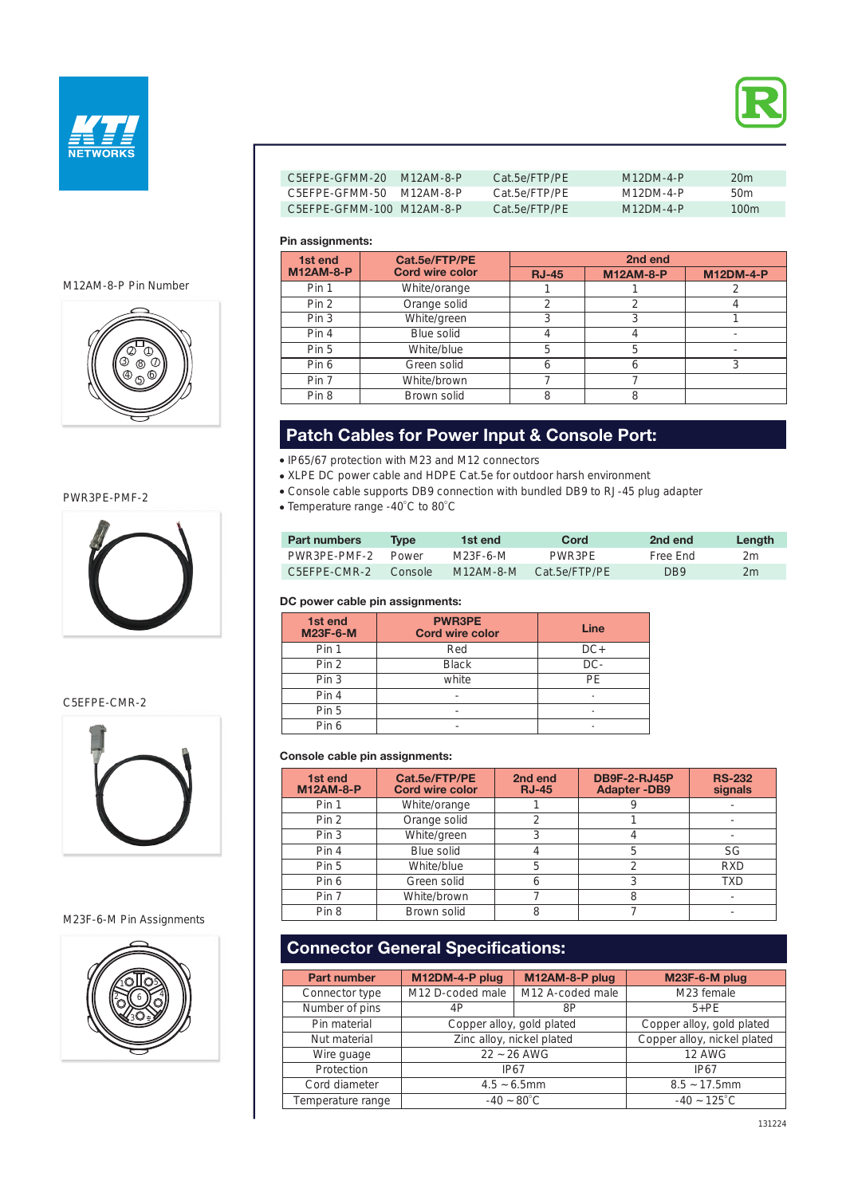



| C5FFPF-GFMM-20 M12AM-8-P  | Cat 5e/FTP/PF | $M12DM-4-P$ | 20m  |
|---------------------------|---------------|-------------|------|
| C5FFPF-GFMM-50 M12AM-8-P  | Cat 5e/FTP/PF | M12DM-4-P   | 50m  |
| C5FFPF-GFMM-100 M12AM-8-P | Cat 5e/FTP/PF | $M12DM-4-P$ | 100m |

### **Pin assignments:**

| 1st end          | Cat.5e/FTP/PE          |              | 2nd end          |                  |
|------------------|------------------------|--------------|------------------|------------------|
| <b>M12AM-8-P</b> | <b>Cord wire color</b> | <b>RJ-45</b> | <b>M12AM-8-P</b> | <b>M12DM-4-P</b> |
| Pin 1            | White/orange           |              |                  |                  |
| Pin 2            | Orange solid           |              |                  |                  |
| Pin <sub>3</sub> | White/green            |              | 3                |                  |
| Pin 4            | Blue solid             |              |                  |                  |
| Pin 5            | White/blue             | 5            | 5                |                  |
| Pin 6            | Green solid            | n            | 6                |                  |
| Pin 7            | White/brown            |              |                  |                  |
| Pin 8            | Brown solid            |              | 8                |                  |

# **Patch Cables for Power Input & Console Port:**

IP65/67 protection with M23 and M12 connectors

XLPE DC power cable and HDPE Cat.5e for outdoor harsh environment

- Console cable supports DB9 connection with bundled DB9 to RJ-45 plug adapter
- Temperature range -40 $\degree$ C to 80 $\degree$ C

| <b>Part numbers</b> | Tvne    | 1st end     | Cord          | 2nd end  | Lenath |
|---------------------|---------|-------------|---------------|----------|--------|
| PWR3PE-PMF-2        | Power   | M23F-6-M    | PWR3PF        | Free Fnd | 2m     |
| C5FFPF-CMR-2        | Console | $M12AM-8-M$ | Cat 5e/FTP/PF | DB9      | 2m     |

#### **DC power cable pin assignments:**

| 1st end<br><b>M23F-6-M</b> | <b>PWR3PE</b><br><b>Cord wire color</b> | Line   |
|----------------------------|-----------------------------------------|--------|
| Pin 1                      | Red                                     | $DC+$  |
| Pin 2                      | <b>Black</b>                            | $DC -$ |
| Pin 3                      | white                                   | PF     |
| Pin 4                      | -                                       | ٠      |
| Pin 5                      |                                         | ٠      |
| Pin 6                      |                                         |        |

#### **Console cable pin assignments:**

| 1st end<br><b>M12AM-8-P</b> | Cat.5e/FTP/PE<br><b>Cord wire color</b> | 2nd end<br><b>RJ-45</b> | <b>DB9F-2-RJ45P</b><br><b>Adapter-DB9</b> | <b>RS-232</b><br>signals |
|-----------------------------|-----------------------------------------|-------------------------|-------------------------------------------|--------------------------|
| Pin 1                       | White/orange                            |                         |                                           |                          |
| Pin 2                       | Orange solid                            | ◠                       |                                           |                          |
| Pin <sub>3</sub>            | White/green                             |                         |                                           |                          |
| Pin 4                       | Blue solid                              |                         | 5                                         | SG                       |
| Pin 5                       | White/blue                              | 5                       |                                           | <b>RXD</b>               |
| Pin 6                       | Green solid                             | 6                       |                                           | <b>TXD</b>               |
| Pin 7                       | White/brown                             |                         |                                           |                          |
| Pin <sub>8</sub>            | Brown solid                             | 8                       |                                           |                          |

# **Connector General Specifications:**

| <b>Part number</b> | M12DM-4-P plug            | M12AM-8-P plug            | M23F-6-M plug               |
|--------------------|---------------------------|---------------------------|-----------------------------|
| Connector type     | M12 D-coded male          | M12 A-coded male          | M23 female                  |
| Number of pins     | 4P                        | 8P                        | $5+PE$                      |
| Pin material       | Copper alloy, gold plated |                           | Copper alloy, gold plated   |
| Nut material       |                           | Zinc alloy, nickel plated | Copper alloy, nickel plated |
| Wire quage         | $22 - 26$ AWG             |                           | <b>12 AWG</b>               |
| Protection         | IP67                      |                           | IP67                        |
| Cord diameter      | $4.5 - 6.5$ mm            |                           | $8.5 - 17.5$ mm             |
| Temperature range  |                           | $-40 - 80^{\circ}$ C      | $-40 - 125^{\circ}$ C       |

M12AM-8-P Pin Number



PWR3PE-PMF-2



C5EFPE-CMR-2



M23F-6-M Pin Assignments